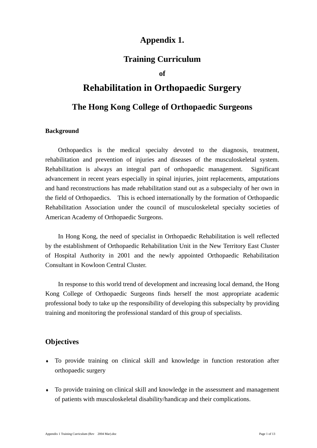# **Appendix 1.**

## **Training Curriculum**

### **of**

# **Rehabilitation in Orthopaedic Surgery**

# **The Hong Kong College of Orthopaedic Surgeons**

#### **Background**

Orthopaedics is the medical specialty devoted to the diagnosis, treatment, rehabilitation and prevention of injuries and diseases of the musculoskeletal system. Rehabilitation is always an integral part of orthopaedic management. Significant advancement in recent years especially in spinal injuries, joint replacements, amputations and hand reconstructions has made rehabilitation stand out as a subspecialty of her own in the field of Orthopaedics. This is echoed internationally by the formation of Orthopaedic Rehabilitation Association under the council of musculoskeletal specialty societies of American Academy of Orthopaedic Surgeons.

In Hong Kong, the need of specialist in Orthopaedic Rehabilitation is well reflected by the establishment of Orthopaedic Rehabilitation Unit in the New Territory East Cluster of Hospital Authority in 2001 and the newly appointed Orthopaedic Rehabilitation Consultant in Kowloon Central Cluster.

In response to this world trend of development and increasing local demand, the Hong Kong College of Orthopaedic Surgeons finds herself the most appropriate academic professional body to take up the responsibility of developing this subspecialty by providing training and monitoring the professional standard of this group of specialists.

## **Objectives**

- To provide training on clinical skill and knowledge in function restoration after ♦ orthopaedic surgery
- ♦ To provide training on clinical skill and knowledge in the assessment and management of patients with musculoskeletal disability/handicap and their complications.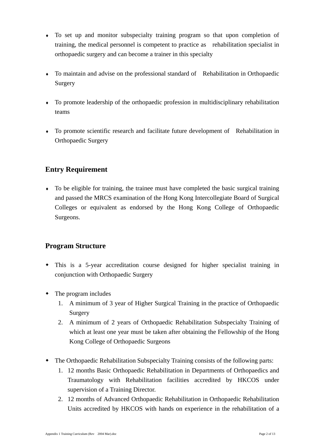- To set up and monitor subspecialty training program so that upon completion of ♦ training, the medical personnel is competent to practice as rehabilitation specialist in orthopaedic surgery and can become a trainer in this specialty
- ♦ To maintain and advise on the professional standard of Rehabilitation in Orthopaedic Surgery
- ♦ To promote leadership of the orthopaedic profession in multidisciplinary rehabilitation teams
- ♦ To promote scientific research and facilitate future development of Rehabilitation in Orthopaedic Surgery

# **Entry Requirement**

♦ To be eligible for training, the trainee must have completed the basic surgical training and passed the MRCS examination of the Hong Kong Intercollegiate Board of Surgical Colleges or equivalent as endorsed by the Hong Kong College of Orthopaedic Surgeons.

## **Program Structure**

- This is a 5-year accreditation course designed for higher specialist training in conjunction with Orthopaedic Surgery
- The program includes
	- 1. A minimum of 3 year of Higher Surgical Training in the practice of Orthopaedic Surgery
	- 2. A minimum of 2 years of Orthopaedic Rehabilitation Subspecialty Training of which at least one year must be taken after obtaining the Fellowship of the Hong Kong College of Orthopaedic Surgeons
- The Orthopaedic Rehabilitation Subspecialty Training consists of the following parts:
	- 1. 12 months Basic Orthopaedic Rehabilitation in Departments of Orthopaedics and Traumatology with Rehabilitation facilities accredited by HKCOS under supervision of a Training Director.
	- 2. 12 months of Advanced Orthopaedic Rehabilitation in Orthopaedic Rehabilitation Units accredited by HKCOS with hands on experience in the rehabilitation of a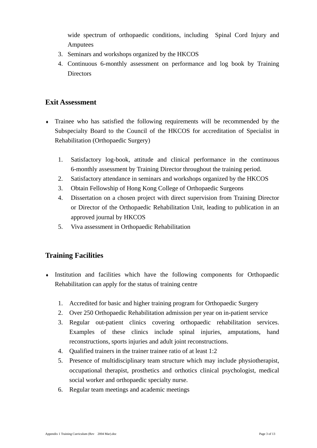wide spectrum of orthopaedic conditions, including Spinal Cord Injury and Amputees

- 3. Seminars and workshops organized by the HKCOS
- 4. Continuous 6-monthly assessment on performance and log book by Training **Directors**

## **Exit Assessment**

- Trainee who has satisfied the following requirements will be recommended by the ♦ Subspecialty Board to the Council of the HKCOS for accreditation of Specialist in Rehabilitation (Orthopaedic Surgery)
	- 1. Satisfactory log-book, attitude and clinical performance in the continuous 6-monthly assessment by Training Director throughout the training period.
	- 2. Satisfactory attendance in seminars and workshops organized by the HKCOS
	- 3. Obtain Fellowship of Hong Kong College of Orthopaedic Surgeons
	- 4. Dissertation on a chosen project with direct supervision from Training Director or Director of the Orthopaedic Rehabilitation Unit, leading to publication in an approved journal by HKCOS
	- 5. Viva assessment in Orthopaedic Rehabilitation

## **Training Facilities**

- ♦ Institution and facilities which have the following components for Orthopaedic Rehabilitation can apply for the status of training centre
	- 1. Accredited for basic and higher training program for Orthopaedic Surgery
	- 2. Over 250 Orthopaedic Rehabilitation admission per year on in-patient service
	- 3. Regular out-patient clinics covering orthopaedic rehabilitation services. Examples of these clinics include spinal injuries, amputations, hand reconstructions, sports injuries and adult joint reconstructions.
	- 4. Qualified trainers in the trainer trainee ratio of at least 1:2
	- 5. Presence of multidisciplinary team structure which may include physiotherapist, occupational therapist, prosthetics and orthotics clinical psychologist, medical social worker and orthopaedic specialty nurse.
	- 6. Regular team meetings and academic meetings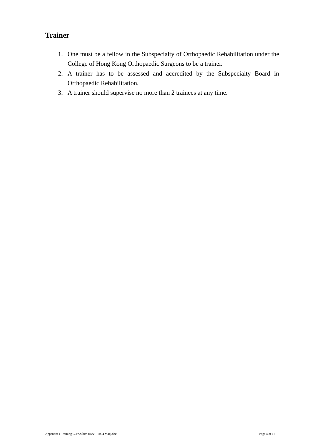# **Trainer**

- 1. One must be a fellow in the Subspecialty of Orthopaedic Rehabilitation under the College of Hong Kong Orthopaedic Surgeons to be a trainer.
- 2. A trainer has to be assessed and accredited by the Subspecialty Board in Orthopaedic Rehabilitation.
- 3. A trainer should supervise no more than 2 trainees at any time.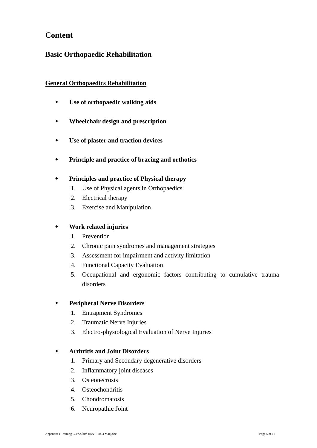# **Content**

## **Basic Orthopaedic Rehabilitation**

## **General Orthopaedics Rehabilitation**

- **Use of orthopaedic walking aids**
- **Wheelchair design and prescription**
- **Use of plaster and traction devices**
- **Principle and practice of bracing and orthotics**

## **Principles and practice of Physical therapy**

- 1. Use of Physical agents in Orthopaedics
- 2. Electrical therapy
- 3. Exercise and Manipulation

## **Work related injuries**

- 1. Prevention
- 2. Chronic pain syndromes and management strategies
- 3. Assessment for impairment and activity limitation
- 4. Functional Capacity Evaluation
- 5. Occupational and ergonomic factors contributing to cumulative trauma disorders

## **Peripheral Nerve Disorders**

- 1. Entrapment Syndromes
- 2. Traumatic Nerve Injuries
- 3. Electro-physiological Evaluation of Nerve Injuries

## **Arthritis and Joint Disorders**

- 1. Primary and Secondary degenerative disorders
- 2. Inflammatory joint diseases
- 3. Osteonecrosis
- 4. Osteochondritis
- 5. Chondromatosis
- 6. Neuropathic Joint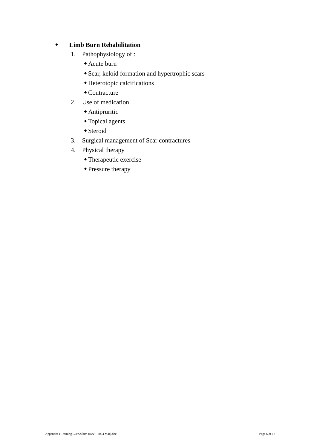## **Limb Burn Rehabilitation**

- 1. Pathophysiology of :
	- Acute burn
	- Scar, keloid formation and hypertrophic scars
	- Heterotopic calcifications
	- Contracture
- 2. Use of medication
	- Antipruritic
	- Topical agents
	- Steroid
- 3. Surgical management of Scar contractures
- 4. Physical therapy
	- Therapeutic exercise
	- Pressure therapy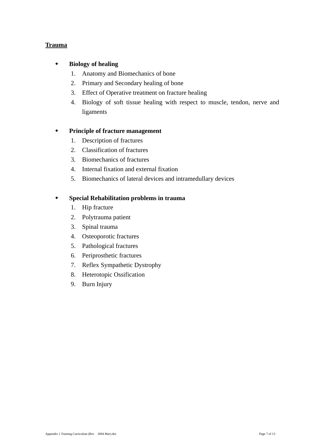## **Trauma**

### **Biology of healing**

- 1. Anatomy and Biomechanics of bone
- 2. Primary and Secondary healing of bone
- 3. Effect of Operative treatment on fracture healing
- 4. Biology of soft tissue healing with respect to muscle, tendon, nerve and ligaments

### **Principle of fracture management**

- 1. Description of fractures
- 2. Classification of fractures
- 3. Biomechanics of fractures
- 4. Internal fixation and external fixation
- 5. Biomechanics of lateral devices and intramedullary devices

### **Special Rehabilitation problems in trauma**

- 1. Hip fracture
- 2. Polytrauma patient
- 3. Spinal trauma
- 4. Osteoporotic fractures
- 5. Pathological fractures
- 6. Periprosthetic fractures
- 7. Reflex Sympathetic Dystrophy
- 8. Heterotopic Ossification
- 9. Burn Injury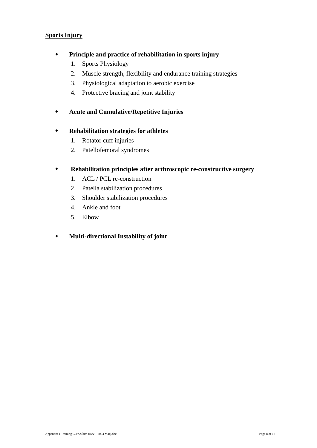#### **Sports Injury**

- **Principle and practice of rehabilitation in sports injury** 
	- 1. Sports Physiology
	- 2. Muscle strength, flexibility and endurance training strategies
	- 3. Physiological adaptation to aerobic exercise
	- 4. Protective bracing and joint stability
- **Acute and Cumulative/Repetitive Injuries**

## **Rehabilitation strategies for athletes**

- 1. Rotator cuff injuries
- 2. Patellofemoral syndromes

### **Rehabilitation principles after arthroscopic re-constructive surgery**

- 1. ACL / PCL re-construction
- 2. Patella stabilization procedures
- 3. Shoulder stabilization procedures
- 4. Ankle and foot
- 5. Elbow

## **Multi-directional Instability of joint**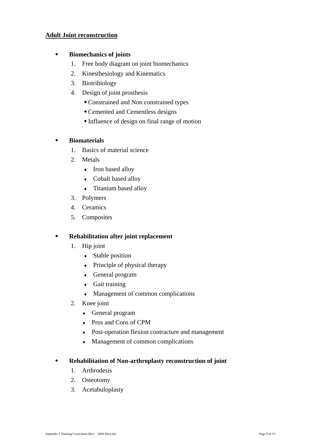#### **Adult Joint reconstruction**

#### **Biomechanics of joints**

- 1. Free body diagram on joint biomechanics
- 2. Kinesthesiology and Kinematics
- 3. Biotribiology
- 4. Design of joint prosthesis
	- Constrained and Non constrained types
	- Cemented and Cementless designs
	- Influence of design on final range of motion

## **Biomaterials**

- 1. Basics of material science
- 2. Metals
	- Iron based alloy
	- ♦ Cobalt based alloy
	- ♦ Titanium based alloy
- 3. Polymers
- 4. Ceramics
- 5. Composites

#### **Rehabilitation after joint replacement**

- 1. Hip joint
	- Stable position
	- Principle of physical therapy
	- ♦ General program
	- ♦ Gait training
	- ♦ Management of common complications
- 2. Knee joint
	- ♦ General program
	- ♦ Pros and Cons of CPM
	- ♦ Post-operation flexion contracture and management
	- ♦ Management of common complications

#### **Rehabilitation of Non-arthroplasty reconstruction of joint**

- 1. Arthrodesis
- 2. Osteotomy
- 3. Acetabuloplasty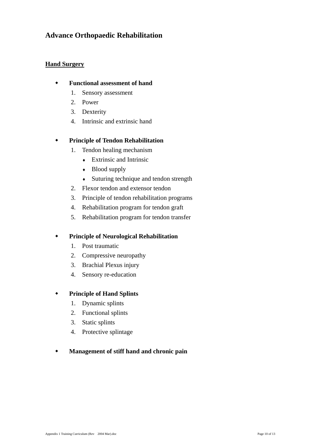## **Advance Orthopaedic Rehabilitation**

### **Hand Surgery**

#### **Functional assessment of hand**

- 1. Sensory assessment
- 2. Power
- 3. Dexterity
- 4. Intrinsic and extrinsic hand

### **Principle of Tendon Rehabilitation**

- 1. Tendon healing mechanism
	- $\triangle$  Extrinsic and Intrinsic
	- Blood supply
	- ♦ Suturing technique and tendon strength
- 2. Flexor tendon and extensor tendon
- 3. Principle of tendon rehabilitation programs
- 4. Rehabilitation program for tendon graft
- 5. Rehabilitation program for tendon transfer

## **Principle of Neurological Rehabilitation**

- 1. Post traumatic
- 2. Compressive neuropathy
- 3. Brachial Plexus injury
- 4. Sensory re-education

## **Principle of Hand Splints**

- 1. Dynamic splints
- 2. Functional splints
- 3. Static splints
- 4. Protective splintage

## **Management of stiff hand and chronic pain**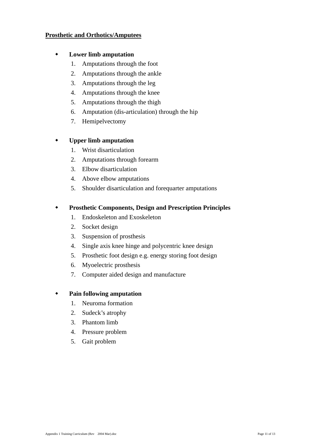#### **Prosthetic and Orthotics/Amputees**

### **Lower limb amputation**

- 1. Amputations through the foot
- 2. Amputations through the ankle
- 3. Amputations through the leg
- 4. Amputations through the knee
- 5. Amputations through the thigh
- 6. Amputation (dis-articulation) through the hip
- 7. Hemipelvectomy

### **Upper limb amputation**

- 1. Wrist disarticulation
- 2. Amputations through forearm
- 3. Elbow disarticulation
- 4. Above elbow amputations
- 5. Shoulder disarticulation and forequarter amputations

### **Prosthetic Components, Design and Prescription Principles**

- 1. Endoskeleton and Exoskeleton
- 2. Socket design
- 3. Suspension of prosthesis
- 4. Single axis knee hinge and polycentric knee design
- 5. Prosthetic foot design e.g. energy storing foot design
- 6. Myoelectric prosthesis
- 7. Computer aided design and manufacture

#### **Pain following amputation**

- 1. Neuroma formation
- 2. Sudeck's atrophy
- 3. Phantom limb
- 4. Pressure problem
- 5. Gait problem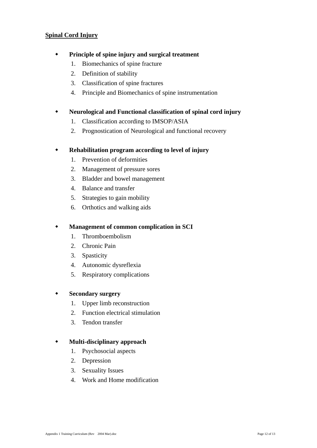#### **Spinal Cord Injury**

### **Principle of spine injury and surgical treatment**

- 1. Biomechanics of spine fracture
- 2. Definition of stability
- 3. Classification of spine fractures
- 4. Principle and Biomechanics of spine instrumentation

### **Neurological and Functional classification of spinal cord injury**

- 1. Classification according to IMSOP/ASIA
- 2. Prognostication of Neurological and functional recovery

### **Rehabilitation program according to level of injury**

- 1. Prevention of deformities
- 2. Management of pressure sores
- 3. Bladder and bowel management
- 4. Balance and transfer
- 5. Strategies to gain mobility
- 6. Orthotics and walking aids

### **Management of common complication in SCI**

- 1. Thromboembolism
- 2. Chronic Pain
- 3. Spasticity
- 4. Autonomic dysreflexia
- 5. Respiratory complications

#### **Secondary surgery**

- 1. Upper limb reconstruction
- 2. Function electrical stimulation
- 3. Tendon transfer

## **Multi-disciplinary approach**

- 1. Psychosocial aspects
- 2. Depression
- 3. Sexuality Issues
- 4. Work and Home modification